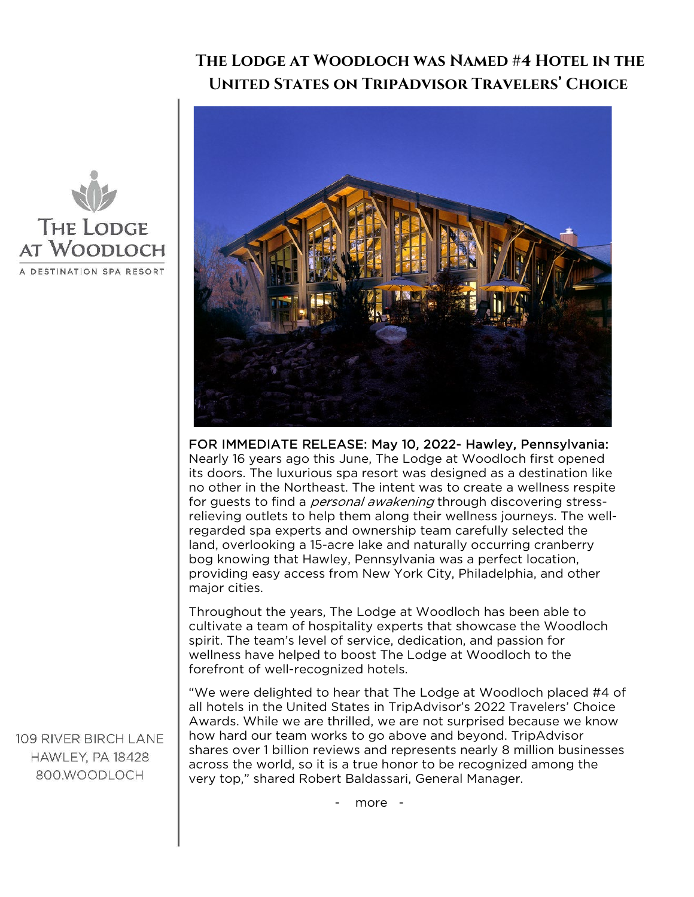## **The Lodge at Woodloch was Named #4 Hotel in the United States on TripAdvisor Travelers' Choice**



FOR IMMEDIATE RELEASE: May 10, 2022- Hawley, Pennsylvania: Nearly 16 years ago this June, The Lodge at Woodloch first opened its doors. The luxurious spa resort was designed as a destination like no other in the Northeast. The intent was to create a wellness respite for guests to find a *personal awakening* through discovering stressrelieving outlets to help them along their wellness journeys. The wellregarded spa experts and ownership team carefully selected the land, overlooking a 15-acre lake and naturally occurring cranberry bog knowing that Hawley, Pennsylvania was a perfect location, providing easy access from New York City, Philadelphia, and other major cities.

Throughout the years, The Lodge at Woodloch has been able to cultivate a team of hospitality experts that showcase the Woodloch spirit. The team's level of service, dedication, and passion for wellness have helped to boost The Lodge at Woodloch to the forefront of well-recognized hotels.

"We were delighted to hear that The Lodge at Woodloch placed #4 of all hotels in the United States in TripAdvisor's 2022 Travelers' Choice Awards. While we are thrilled, we are not surprised because we know how hard our team works to go above and beyond. TripAdvisor shares over 1 billion reviews and represents nearly 8 million businesses across the world, so it is a true honor to be recognized among the very top," shared Robert Baldassari, General Manager.



109 RIVER BIRCH LANE HAWLEY, PA 18428 800 WOODLOCH

- more -